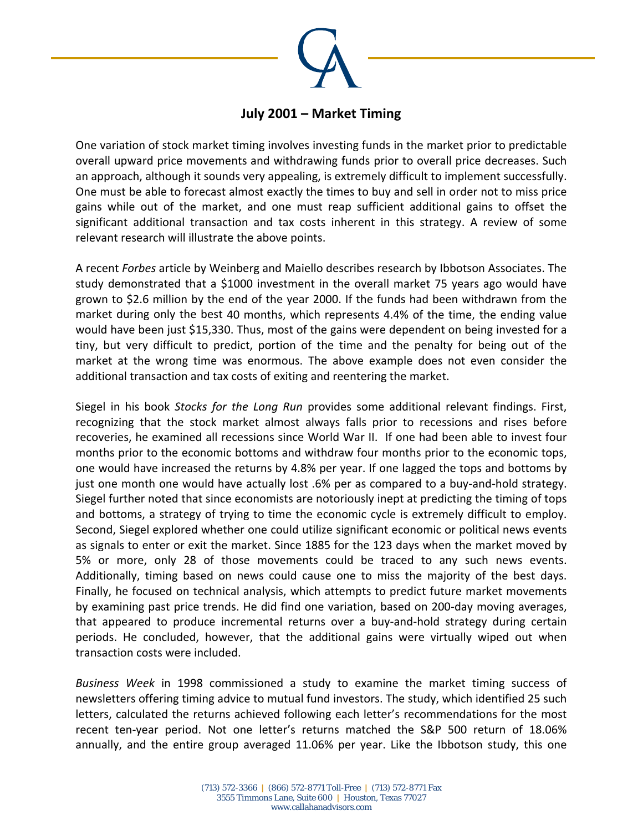

## **July 2001 – Market Timing**

One variation of stock market timing involves investing funds in the market prior to predictable overall upward price movements and withdrawing funds prior to overall price decreases. Such an approach, although it sounds very appealing, is extremely difficult to implement successfully. One must be able to forecast almost exactly the times to buy and sell in order not to miss price gains while out of the market, and one must reap sufficient additional gains to offset the significant additional transaction and tax costs inherent in this strategy. A review of some relevant research will illustrate the above points.

A recent *Forbes* article by Weinberg and Maiello describes research by Ibbotson Associates. The study demonstrated that a \$1000 investment in the overall market 75 years ago would have grown to \$2.6 million by the end of the year 2000. If the funds had been withdrawn from the market during only the best 40 months, which represents 4.4% of the time, the ending value would have been just \$15,330. Thus, most of the gains were dependent on being invested for a tiny, but very difficult to predict, portion of the time and the penalty for being out of the market at the wrong time was enormous. The above example does not even consider the additional transaction and tax costs of exiting and reentering the market.

Siegel in his book *Stocks for the Long Run* provides some additional relevant findings. First, recognizing that the stock market almost always falls prior to recessions and rises before recoveries, he examined all recessions since World War II. If one had been able to invest four months prior to the economic bottoms and withdraw four months prior to the economic tops, one would have increased the returns by 4.8% per year. If one lagged the tops and bottoms by just one month one would have actually lost .6% per as compared to a buy-and-hold strategy. Siegel further noted that since economists are notoriously inept at predicting the timing of tops and bottoms, a strategy of trying to time the economic cycle is extremely difficult to employ. Second, Siegel explored whether one could utilize significant economic or political news events as signals to enter or exit the market. Since 1885 for the 123 days when the market moved by 5% or more, only 28 of those movements could be traced to any such news events. Additionally, timing based on news could cause one to miss the majority of the best days. Finally, he focused on technical analysis, which attempts to predict future market movements by examining past price trends. He did find one variation, based on 200‐day moving averages, that appeared to produce incremental returns over a buy‐and‐hold strategy during certain periods. He concluded, however, that the additional gains were virtually wiped out when transaction costs were included.

*Business Week* in 1998 commissioned a study to examine the market timing success of newsletters offering timing advice to mutual fund investors. The study, which identified 25 such letters, calculated the returns achieved following each letter's recommendations for the most recent ten‐year period. Not one letter's returns matched the S&P 500 return of 18.06% annually, and the entire group averaged 11.06% per year. Like the Ibbotson study, this one